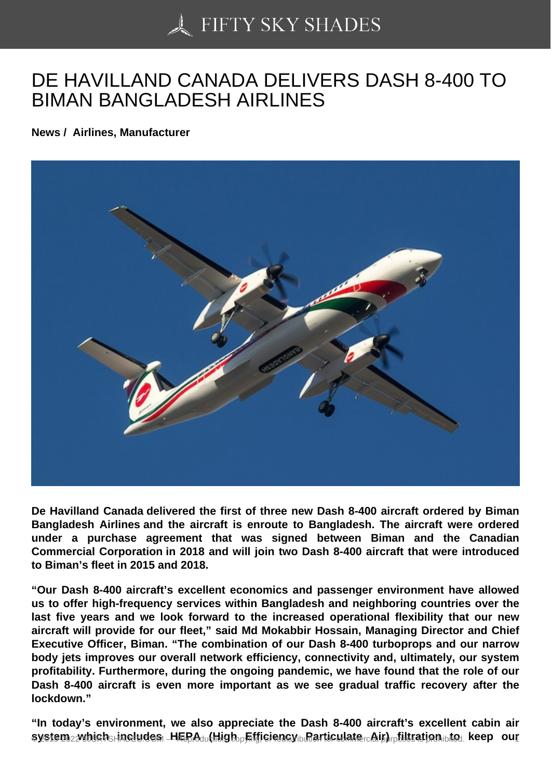## [DE HAVILLAND CANA](https://50skyshades.com)DA DELIVERS DASH 8-400 TO BIMAN BANGLADESH AIRLINES

News / Airlines, Manufacturer

De Havilland Canada delivered the first of three new Dash 8-400 aircraft ordered by Biman Bangladesh Airlines and the aircraft is enroute to Bangladesh. The aircraft were ordered under a purchase agreement that was signed between Biman and the Canadian Commercial Corporation in 2018 and will join two Dash 8-400 aircraft that were introduced to Biman's fleet in 2015 and 2018.

"Our Dash 8-400 aircraft's excellent economics and passenger environment have allowed us to offer high-frequency services within Bangladesh and neighboring countries over the last five years and we look forward to the increased operational flexibility that our new aircraft will provide for our fleet," said Md Mokabbir Hossain, Managing Director and Chief Executive Officer, Biman. "The combination of our Dash 8-400 turboprops and our narrow body jets improves our overall network efficiency, connectivity and, ultimately, our system profitability. Furthermore, during the ongoing pandemic, we have found that the role of our Dash 8-400 aircraft is even more important as we see gradual traffic recovery after the lockdown."

"In today's environment, we also appreciate the Dash 8-400 aircraft's excellent cabin air  $s$ vstem  $_2$ which includes MERA (High Efficiency diffatticulate  $_0$  Michaelige is  $s$ <sub>ro</sub>keep our  $1$